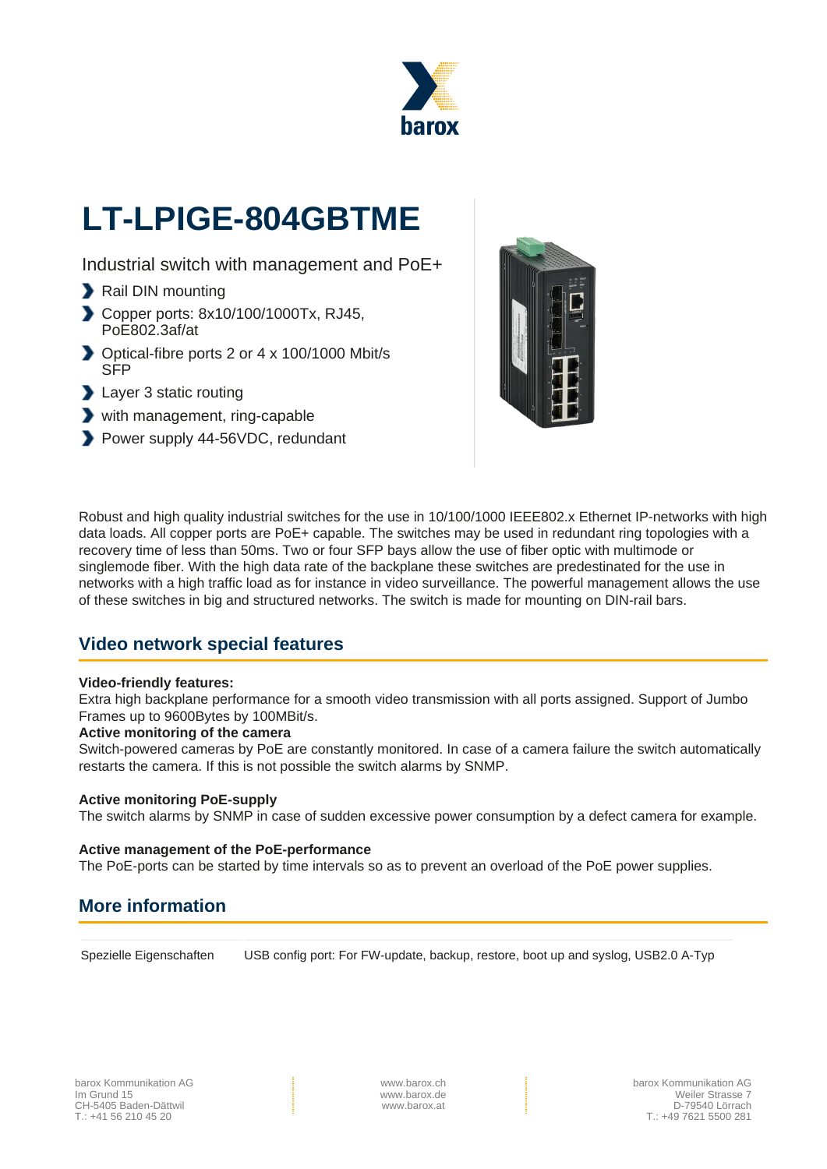

# **LT-LPIGE-804GBTME**

Industrial switch with management and PoE+

- Rail DIN mounting
- Copper ports: 8x10/100/1000Tx, RJ45, PoE802.3af/at
- Optical-fibre ports 2 or 4 x 100/1000 Mbit/s SFP
- **Layer 3 static routing**
- with management, ring-capable
- Power supply 44-56VDC, redundant



Robust and high quality industrial switches for the use in 10/100/1000 IEEE802.x Ethernet IP-networks with high data loads. All copper ports are PoE+ capable. The switches may be used in redundant ring topologies with a recovery time of less than 50ms. Two or four SFP bays allow the use of fiber optic with multimode or singlemode fiber. With the high data rate of the backplane these switches are predestinated for the use in networks with a high traffic load as for instance in video surveillance. The powerful management allows the use of these switches in big and structured networks. The switch is made for mounting on DIN-rail bars.

# **Video network special features**

#### **Video-friendly features:**

Extra high backplane performance for a smooth video transmission with all ports assigned. Support of Jumbo Frames up to 9600Bytes by 100MBit/s.

#### **Active monitoring of the camera**

Switch-powered cameras by PoE are constantly monitored. In case of a camera failure the switch automatically restarts the camera. If this is not possible the switch alarms by SNMP.

#### **Active monitoring PoE-supply**

The switch alarms by SNMP in case of sudden excessive power consumption by a defect camera for example.

#### **Active management of the PoE-performance**

The PoE-ports can be started by time intervals so as to prevent an overload of the PoE power supplies.

# **More information**

Spezielle Eigenschaften USB config port: For FW-update, backup, restore, boot up and syslog, USB2.0 A-Typ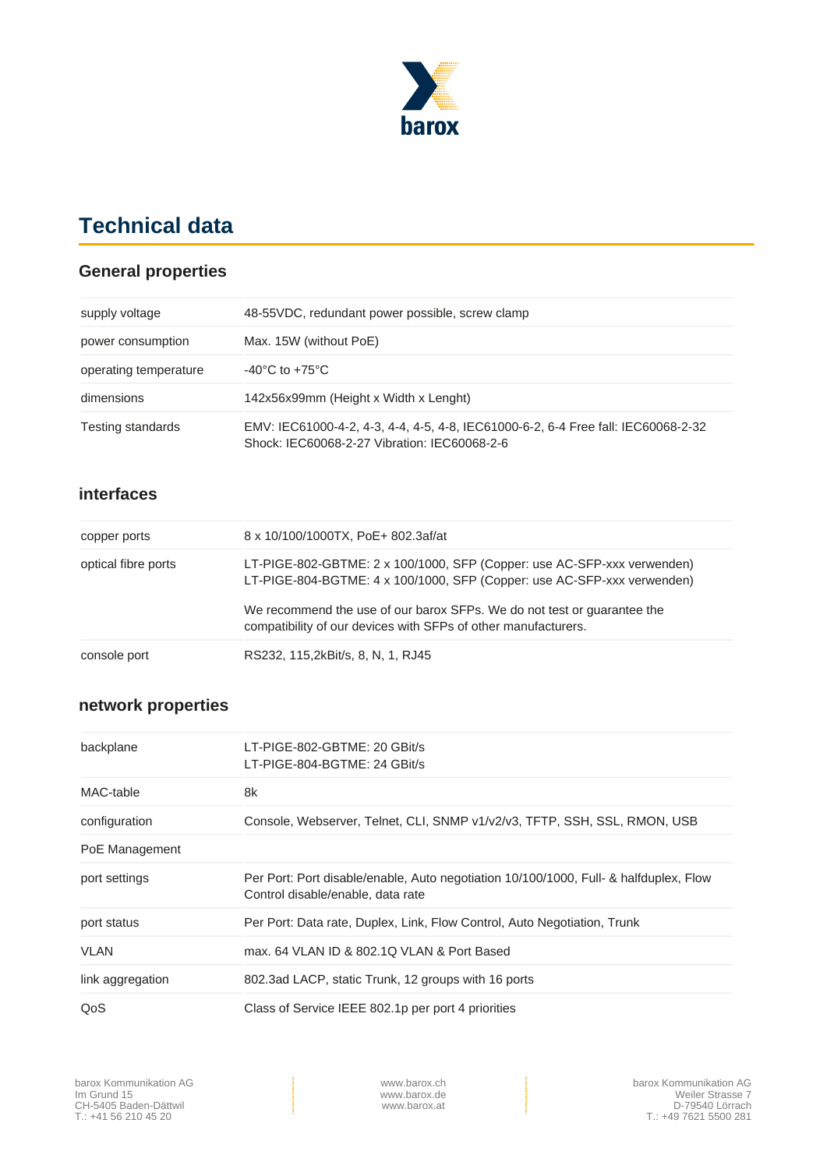

# **Technical data**

### **General properties**

| supply voltage        | 48-55 VDC, redundant power possible, screw clamp                                                                                  |
|-----------------------|-----------------------------------------------------------------------------------------------------------------------------------|
| power consumption     | Max. 15W (without PoE)                                                                                                            |
| operating temperature | $-40^{\circ}$ C to $+75^{\circ}$ C                                                                                                |
| dimensions            | 142x56x99mm (Height x Width x Lenght)                                                                                             |
| Testing standards     | EMV: IEC61000-4-2, 4-3, 4-4, 4-5, 4-8, IEC61000-6-2, 6-4 Free fall: IEC60068-2-32<br>Shock: IEC60068-2-27 Vibration: IEC60068-2-6 |

#### **interfaces**

| copper ports        | 8 x 10/100/1000TX, PoE+ 802.3af/at                                                                                                                 |
|---------------------|----------------------------------------------------------------------------------------------------------------------------------------------------|
| optical fibre ports | LT-PIGE-802-GBTME: 2 x 100/1000, SFP (Copper: use AC-SFP-xxx verwenden)<br>LT-PIGE-804-BGTME: 4 x 100/1000, SFP (Copper: use AC-SFP-xxx verwenden) |
|                     | We recommend the use of our barox SFPs. We do not test or guarantee the<br>compatibility of our devices with SFPs of other manufacturers.          |
| console port        | RS232, 115, 2kBit/s, 8, N, 1, RJ45                                                                                                                 |

## **network properties**

| backplane        | LT-PIGE-802-GBTME: 20 GBit/s<br>LT-PIGE-804-BGTME: 24 GBit/s                                                               |
|------------------|----------------------------------------------------------------------------------------------------------------------------|
| MAC-table        | 8k                                                                                                                         |
| configuration    | Console, Webserver, Telnet, CLI, SNMP v1/v2/v3, TFTP, SSH, SSL, RMON, USB                                                  |
| PoE Management   |                                                                                                                            |
| port settings    | Per Port: Port disable/enable, Auto negotiation 10/100/1000, Full- & halfduplex, Flow<br>Control disable/enable, data rate |
| port status      | Per Port: Data rate, Duplex, Link, Flow Control, Auto Negotiation, Trunk                                                   |
| <b>VLAN</b>      | max, 64 VLAN ID & 802.1Q VLAN & Port Based                                                                                 |
| link aggregation | 802.3ad LACP, static Trunk, 12 groups with 16 ports                                                                        |
| QoS              | Class of Service IEEE 802.1p per port 4 priorities                                                                         |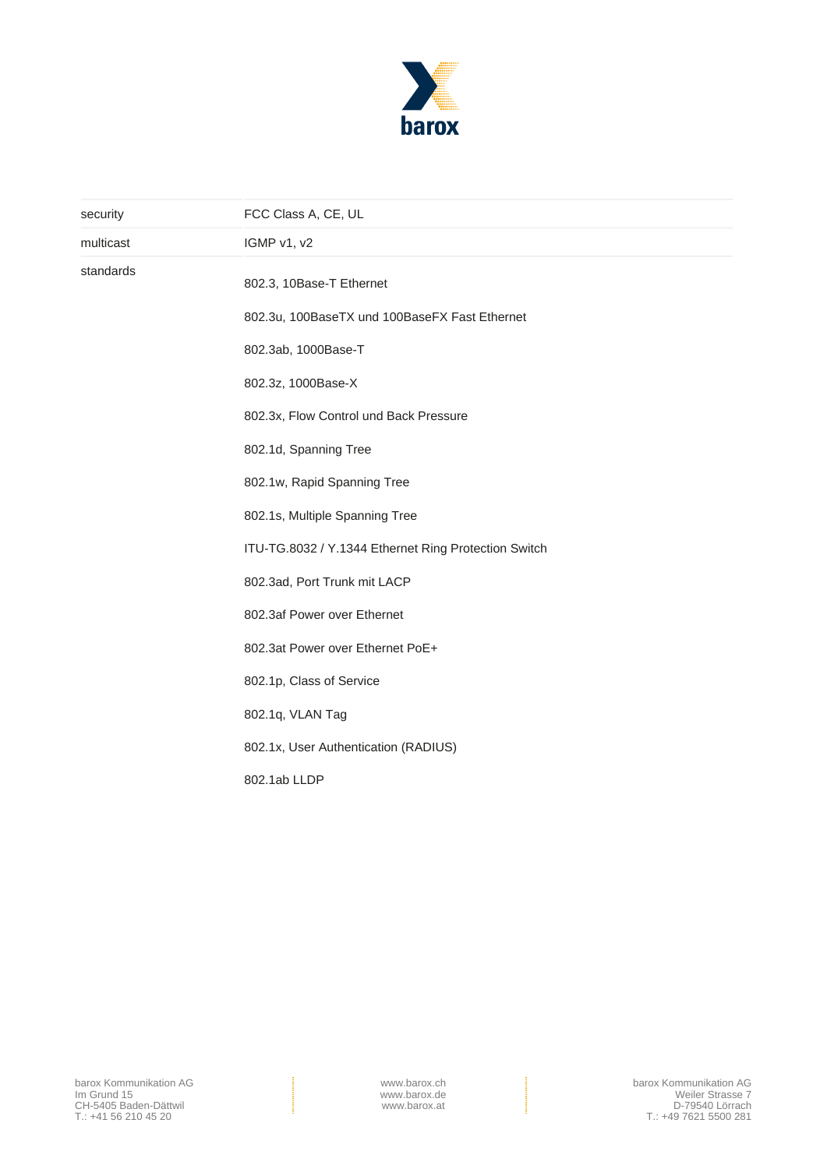

| security  | FCC Class A, CE, UL                                  |
|-----------|------------------------------------------------------|
| multicast | IGMP v1, v2                                          |
| standards | 802.3, 10Base-T Ethernet                             |
|           | 802.3u, 100BaseTX und 100BaseFX Fast Ethernet        |
|           | 802.3ab, 1000Base-T                                  |
|           | 802.3z, 1000Base-X                                   |
|           | 802.3x, Flow Control und Back Pressure               |
|           | 802.1d, Spanning Tree                                |
|           | 802.1w, Rapid Spanning Tree                          |
|           | 802.1s, Multiple Spanning Tree                       |
|           | ITU-TG.8032 / Y.1344 Ethernet Ring Protection Switch |
|           | 802.3ad, Port Trunk mit LACP                         |
|           | 802.3af Power over Ethernet                          |
|           | 802.3at Power over Ethernet PoE+                     |
|           | 802.1p, Class of Service                             |
|           | 802.1q, VLAN Tag                                     |
|           | 802.1x, User Authentication (RADIUS)                 |
|           | 802.1ab LLDP                                         |
|           |                                                      |